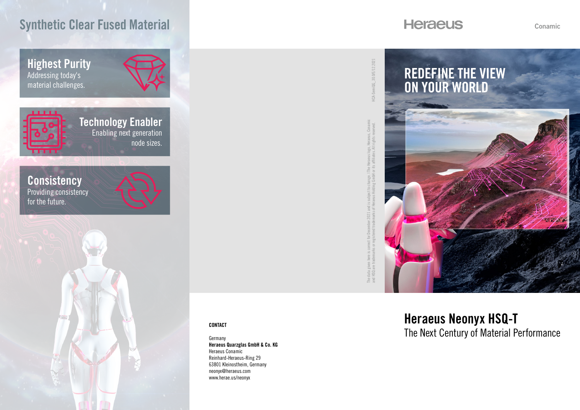# Synthetic Clear Fused Material